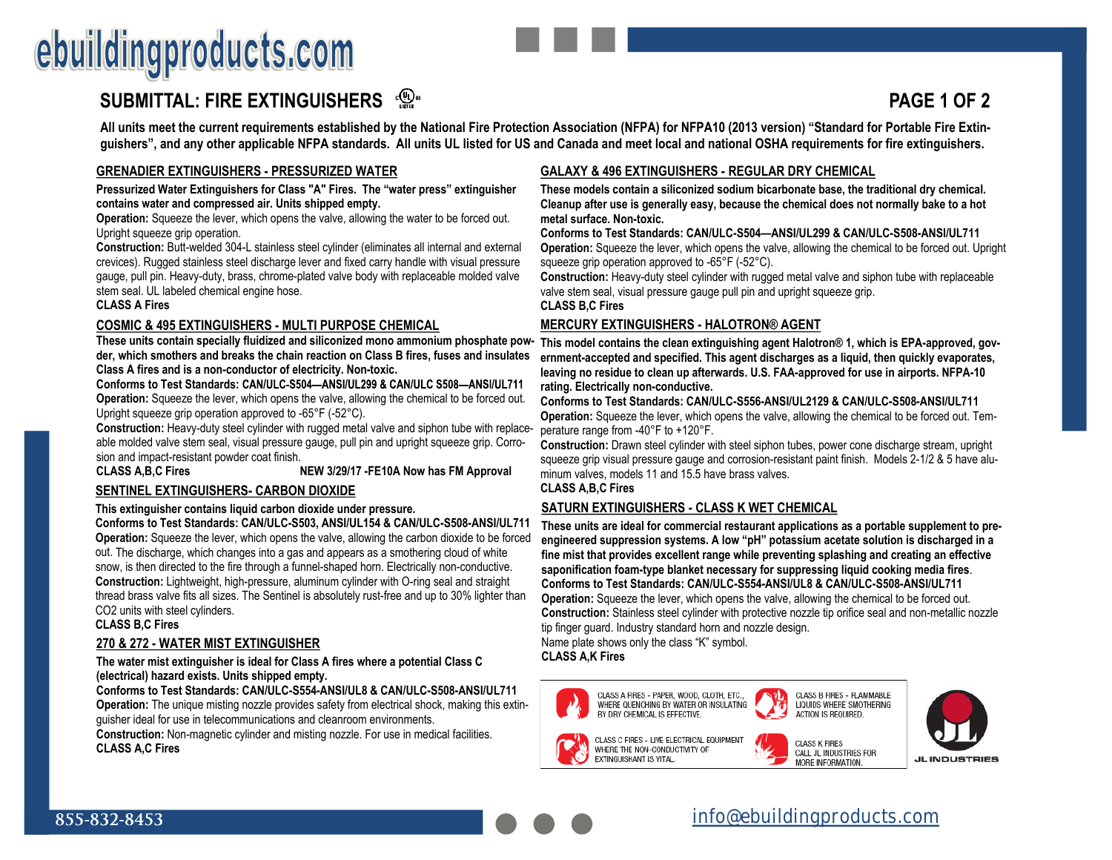# ebuildingproducts.com

## **SUBMITTAL: FIRE EXTINGUISHERS**  $\mathbb{Q}^*$

### **All units meet the current requirements established by the National Fire Protection Association (NFPA) for NFPA10 (2013 version) "Standard for Portable Fire Extinguishers", and any other applicable NFPA standards. All units UL listed for US and Canada and meet local and national OSHA requirements for fire extinguishers.**

### **GRENADIER EXTINGUISHERS - PRESSURIZED WATER**

**Pressurized Water Extinguishers for Class "A" Fires. The "water press" extinguisher contains water and compressed air. Units shipped empty.**

**Operation:** Squeeze the lever, which opens the valve, allowing the water to be forced out. Upright squeeze grip operation.

**Construction:** Butt-welded 304-L stainless steel cylinder (eliminates all internal and external crevices). Rugged stainless steel discharge lever and fixed carry handle with visual pressure gauge, pull pin. Heavy-duty, brass, chrome-plated valve body with replaceable molded valve stem seal. UL labeled chemical engine hose.

#### **CLASS A Fires**

#### **COSMIC & 495 EXTINGUISHERS - MULTI PURPOSE CHEMICAL**

**der, which smothers and breaks the chain reaction on Class B fires, fuses and insulates Class A fires and is a non-conductor of electricity. Non-toxic.**

**Conforms to Test Standards: Operation:** Squeeze the lever, which opens the valve, allowing the chemical to be forced out. Upright squeeze grip operation approved to -65°F (-52°C).

**Construction:** Heavy-duty steel cylinder with rugged metal valve and siphon tube with replaceable molded valve stem seal, visual pressure gauge, pull pin and upright squeeze grip. Corrosion and impact-resistant powder coat finish.<br>**CLASS A.B.C Fires** 

**NEW 3/29/17 -FE10A Now has FM Approval** 

#### **SENTINEL EXTINGUISHERS- CARBON DIOXIDE**

#### **This extinguisher contains liquid carbon dioxide under pressure.**

**Conforms to Test Standards: CAN/ULC-S503, ANSI/UL154 & CAN/ULC-S508-ANSI/UL711 Operation:** Squeeze the lever, which opens the valve, allowing the carbon dioxide to be forced out. The discharge, which changes into a gas and appears as a smothering cloud of white snow, is then directed to the fire through a funnel-shaped horn. Electrically non-conductive. **Construction:** Lightweight, high-pressure, aluminum cylinder with O-ring seal and straight thread brass valve fits all sizes. The Sentinel is absolutely rust-free and up to 30% lighter than CO2 units with steel cylinders.

**CLASS B,C Fires**

#### **270 & 272 - WATER MIST EXTINGUISHER**

#### **The water mist extinguisher is ideal for Class A fires where a potential Class C (electrical) hazard exists. Units shipped empty.**

**Conforms to Test Standards: CAN/ULC-S554-ANSI/UL8 & CAN/ULC-S508-ANSI/UL711 Operation:** The unique misting nozzle provides safety from electrical shock, making this extinguisher ideal for use in telecommunications and cleanroom environments.

**Construction:** Non-magnetic cylinder and misting nozzle. For use in medical facilities. **CLASS A,C Fires**

### **GALAXY & 496 EXTINGUISHERS - REGULAR DRY CHEMICAL**

**These models contain a siliconized sodium bicarbonate base, the traditional dry chemical. Cleanup after use is generally easy, because the chemical does not normally bake to a hot metal surface. Non-toxic.**

#### **Conforms to Test Standards: CAN/ULC-S504—ANSI/UL299 & CAN/ULC-S508-ANSI/UL711**

**Operation:** Squeeze the lever, which opens the valve, allowing the chemical to be forced out. Upright squeeze grip operation approved to -65°F (-52°C).

**Construction:** Heavy-duty steel cylinder with rugged metal valve and siphon tube with replaceable valve stem seal, visual pressure gauge pull pin and upright squeeze grip.

**CLASS B,C Fires**

#### **MERCURY EXTINGUISHERS - HALOTRON® AGENT**

These units contain specially fluidized and siliconized mono ammonium phosphate pow- This model contains the clean extinguishing agent Halotron® 1, which is EPA-approved, gov**ernment-accepted and specified. This agent discharges as a liquid, then quickly evaporates, leaving no residue to clean up afterwards. U.S. FAA-approved for use in airports. NFPA-10 rating. Electrically non-conductive.** 

#### **Conforms to Test Standards: CAN/ULC-S556-ANSI/UL2129 & CAN/ULC-S508-ANSI/UL711**

**Operation:** Squeeze the lever, which opens the valve, allowing the chemical to be forced out. Temperature range from -40°F to +120°F.

**Construction:** Drawn steel cylinder with steel siphon tubes, power cone discharge stream, upright squeeze grip visual pressure gauge and corrosion-resistant paint finish. Models 2-1/2 & 5 have aluminum valves, models 11 and 15.5 have brass valves.

**CLASS A,B,C Fires** 

#### **SATURN EXTINGUISHERS - CLASS K WET CHEMICAL**

**These units are ideal for commercial restaurant applications as a portable supplement to preengineered suppression systems. A low "pH" potassium acetate solution is discharged in a fine mist that provides excellent range while preventing splashing and creating an effective saponification foam-type blanket necessary for suppressing liquid cooking media fires**. **Conforms to Test Standards: CAN/ULC-S554-ANSI/UL8 & CAN/ULC-S508-ANSI/UL711 Operation:** Squeeze the lever, which opens the valve, allowing the chemical to be forced out. **Construction:** Stainless steel cylinder with protective nozzle tip orifice seal and non-metallic nozzle tip finger guard. Industry standard horn and nozzle design. Name plate shows only the class "K" symbol.

**CLASS A,K Fires**